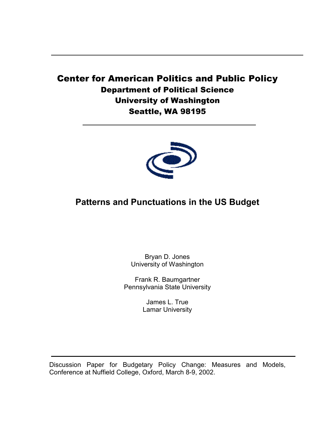## Center for American Politics and Public Policy Department of Political Science University of Washington Seattle, WA 98195



# **Patterns and Punctuations in the US Budget**

Bryan D. Jones University of Washington

Frank R. Baumgartner Pennsylvania State University

> James L. True Lamar University

Discussion Paper for Budgetary Policy Change: Measures and Models, Conference at Nuffield College, Oxford, March 8-9, 2002.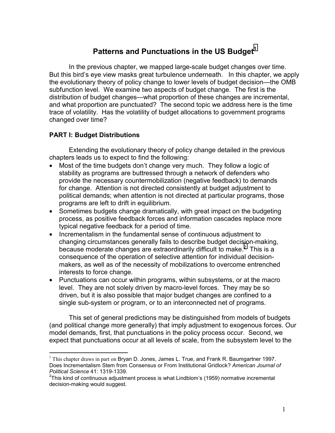## **Patterns and Punctuations in the US Budget<sup>1</sup>**

 In the previous chapter, we mapped large-scale budget changes over time. But this bird's eye view masks great turbulence underneath. In this chapter, we apply the evolutionary theory of policy change to lower levels of budget decision—the OMB subfunction level. We examine two aspects of budget change. The first is the distribution of budget changes—what proportion of these changes are incremental, and what proportion are punctuated? The second topic we address here is the time trace of volatility. Has the volatility of budget allocations to government programs changed over time?

## **PART I: Budget Distributions**

 $\overline{a}$ 

 Extending the evolutionary theory of policy change detailed in the previous chapters leads us to expect to find the following:

- Most of the time budgets don't change very much. They follow a logic of stability as programs are buttressed through a network of defenders who provide the necessary countermobilization (negative feedback) to demands for change. Attention is not directed consistently at budget adjustment to political demands; when attention is not directed at particular programs, those programs are left to drift in equilibrium.
- Sometimes budgets change dramatically, with great impact on the budgeting process, as positive feedback forces and information cascades replace more typical negative feedback for a period of time.
- Incrementalism in the fundamental sense of continuous adjustment to changing circumstances generally fails to describe budget decision-making, because moderate changes are extraordinarily difficult to make. $2$  This is a consequence of the operation of selective attention for individual decisionmakers, as well as of the necessity of mobilizations to overcome entrenched interests to force change.
- Punctuations can occur within programs, within subsystems, or at the macro level. They are not solely driven by macro-level forces. They may be so driven, but it is also possible that major budget changes are confined to a single sub-system or program, or to an interconnected net of programs.

 This set of general predictions may be distinguished from models of budgets (and political change more generally) that imply adjustment to exogenous forces. Our model demands, first, that punctuations in the policy process occur. Second, we expect that punctuations occur at all levels of scale, from the subsystem level to the

<sup>&</sup>lt;sup>1</sup> This chapter draws in part on Bryan D. Jones, James L. True, and Frank R. Baumgartner 1997. Does Incrementalism Stem from Consensus or From Institutional Gridlock? *American Journal of Political Science* 41: 1319-1339.

<sup>&</sup>lt;sup>2</sup>This kind of continuous adjustment process is what Lindblom's (1959) normative incremental decision-making would suggest.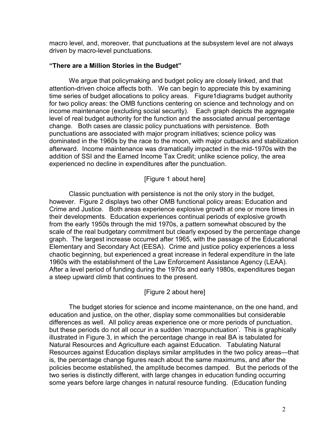macro level, and, moreover, that punctuations at the subsystem level are not always driven by macro-level punctuations.

## **"There are a Million Stories in the Budget"**

 We argue that policymaking and budget policy are closely linked, and that attention-driven choice affects both. We can begin to appreciate this by examining time series of budget allocations to policy areas. Figure1diagrams budget authority for two policy areas: the OMB functions centering on science and technology and on income maintenance (excluding social security). Each graph depicts the aggregate level of real budget authority for the function and the associated annual percentage change. Both cases are classic policy punctuations with persistence. Both punctuations are associated with major program initiatives; science policy was dominated in the 1960s by the race to the moon, with major cutbacks and stabilization afterward. Income maintenance was dramatically impacted in the mid-1970s with the addition of SSI and the Earned Income Tax Credit; unlike science policy, the area experienced no decline in expenditures after the punctuation.

[Figure 1 about here]

 Classic punctuation with persistence is not the only story in the budget, however. Figure 2 displays two other OMB functional policy areas: Education and Crime and Justice. Both areas experience explosive growth at one or more times in their developments. Education experiences continual periods of explosive growth from the early 1950s through the mid 1970s, a pattern somewhat obscured by the scale of the real budgetary commitment but clearly exposed by the percentage change graph. The largest increase occurred after 1965, with the passage of the Educational Elementary and Secondary Act (EESA). Crime and justice policy experiences a less chaotic beginning, but experienced a great increase in federal expenditure in the late 1960s with the establishment of the Law Enforcement Assistance Agency (LEAA). After a level period of funding during the 1970s and early 1980s, expenditures began a steep upward climb that continues to the present.

[Figure 2 about here]

 The budget stories for science and income maintenance, on the one hand, and education and justice, on the other, display some commonalities but considerable differences as well. All policy areas experience one or more periods of punctuation, but these periods do not all occur in a sudden 'macropunctuation'. This is graphically illustrated in Figure 3, in which the percentage change in real BA is tabulated for Natural Resources and Agriculture each against Education. Tabulating Natural Resources against Education displays similar amplitudes in the two policy areas—that is, the percentage change figures reach about the same maximums, and after the policies become established, the amplitude becomes damped. But the periods of the two series is distinctly different, with large changes in education funding occurring some years before large changes in natural resource funding. (Education funding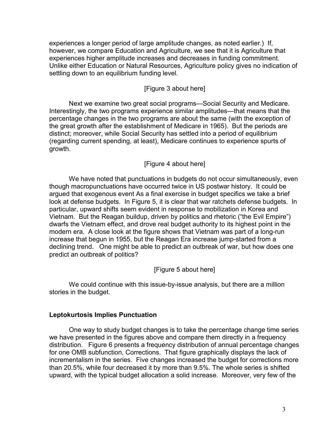experiences a longer period of large amplitude changes, as noted earlier.) If, however, we compare Education and Agriculture, we see that it is Agriculture that experiences higher amplitude increases and decreases in funding commitment. Unlike either Education or Natural Resources, Agriculture policy gives no indication of settling down to an equilibrium funding level.

#### [Figure 3 about here]

 Next we examine two great social programs—Social Security and Medicare. Interestingly, the two programs experience similar amplitudes—that means that the percentage changes in the two programs are about the same (with the exception of the great growth after the establishment of Medicare in 1965). But the periods are distinct; moreover, while Social Security has settled into a period of equilibrium (regarding current spending, at least), Medicare continues to experience spurts of growth.

### [Figure 4 about here]

We have noted that punctuations in budgets do not occur simultaneously, even though macropunctuations have occurred twice in US postwar history. It could be argued that exogenous event As a final exercise in budget specifics we take a brief look at defense budgets. In Figure 5, it is clear that war ratchets defense budgets. In particular, upward shifts seem evident in response to mobilization in Korea and Vietnam. But the Reagan buildup, driven by politics and rhetoric ("the Evil Empire") dwarfs the Vietnam effect, and drove real budget authority to its highest point in the modern era. A close look at the figure shows that Vietnam was part of a long-run increase that begun in 1955, but the Reagan Era increase jump-started from a declining trend. One might be able to predict an outbreak of war, but how does one predict an outbreak of politics?

[Figure 5 about here]

 We could continue with this issue-by-issue analysis, but there are a million stories in the budget.

#### **Leptokurtosis Implies Punctuation**

 One way to study budget changes is to take the percentage change time series we have presented in the figures above and compare them directly in a frequency distribution. Figure 6 presents a frequency distribution of annual percentage changes for one OMB subfunction, Corrections. That figure graphically displays the lack of incrementalism in the series. Five changes increased the budget for corrections more than 20.5%, while four decreased it by more than 9.5%. The whole series is shifted upward, with the typical budget allocation a solid increase. Moreover, very few of the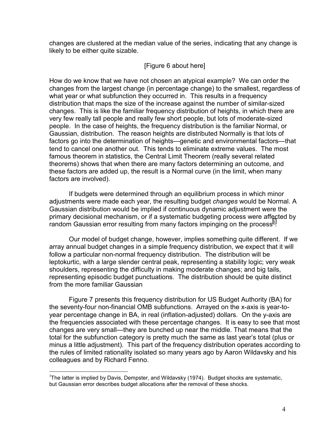changes are clustered at the median value of the series, indicating that any change is likely to be either quite sizable.

## [Figure 6 about here]

How do we know that we have not chosen an atypical example? We can order the changes from the largest change (in percentage change) to the smallest, regardless of what year or what subfunction they occurred in. This results in a frequency distribution that maps the size of the increase against the number of similar-sized changes. This is like the familiar frequency distribution of heights, in which there are very few really tall people and really few short people, but lots of moderate-sized people. In the case of heights, the frequency distribution is the familiar Normal, or Gaussian, distribution. The reason heights are distributed Normally is that lots of factors go into the determination of heights—genetic and environmental factors—that tend to cancel one another out. This tends to eliminate extreme values. The most famous theorem in statistics, the Central Limit Theorem (really several related theorems) shows that when there are many factors determining an outcome, and these factors are added up, the result is a Normal curve (in the limit, when many factors are involved).

If budgets were determined through an equilibrium process in which minor adjustments were made each year, the resulting budget *changes* would be Normal. A Gaussian distribution would be implied if continuous dynamic adjustment were the primary decisional mechanism, or if a systematic budgeting process were affected by  $\frac{1}{2}$  random Gaussian error resulting from many factors impinging on the process<sup>3</sup>.

Our model of budget change, however, implies something quite different. If we array annual budget changes in a simple frequency distribution, we expect that it will follow a particular non-normal frequency distribution. The distribution will be leptokurtic, with a large slender central peak, representing a stability logic; very weak shoulders, representing the difficulty in making moderate changes; and big tails, representing episodic budget punctuations. The distribution should be quite distinct from the more familiar Gaussian

Figure 7 presents this frequency distribution for US Budget Authority (BA) for the seventy-four non-financial OMB subfunctions. Arrayed on the x-axis is year-toyear percentage change in BA, in real (inflation-adjusted) dollars. On the y-axis are the frequencies associated with these percentage changes. It is easy to see that most changes are very small—they are bunched up near the middle. That means that the total for the subfunction category is pretty much the same as last year's total (plus or minus a little adjustment). This part of the frequency distribution operates according to the rules of limited rationality isolated so many years ago by Aaron Wildavsky and his colleagues and by Richard Fenno.

 $\overline{a}$ 

 $3$ The latter is implied by Davis, Dempster, and Wildavsky (1974). Budget shocks are systematic, but Gaussian error describes budget allocations after the removal of these shocks.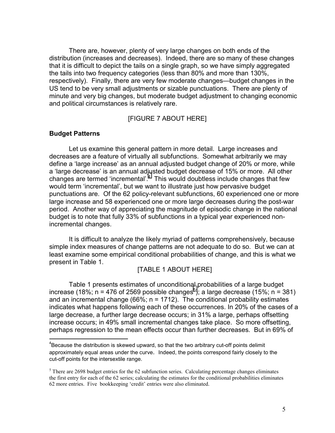There are, however, plenty of very large changes on both ends of the distribution (increases and decreases). Indeed, there are so many of these changes that it is difficult to depict the tails on a single graph, so we have simply aggregated the tails into two frequency categories (less than 80% and more than 130%, respectively). Finally, there are very few moderate changes—budget changes in the US tend to be very small adjustments or sizable punctuations. There are plenty of minute and very big changes, but moderate budget adjustment to changing economic and political circumstances is relatively rare.

#### [FIGURE 7 ABOUT HERE]

#### **Budget Patterns**

 $\overline{a}$ 

 Let us examine this general pattern in more detail. Large increases and decreases are a feature of virtually all subfunctions. Somewhat arbitrarily we may define a 'large increase' as an annual adjusted budget change of 20% or more, while a 'large decrease' is an annual adjusted budget decrease of 15% or more. All other changes are termed 'incremental'. $4$  This would doubtless include changes that few would term 'incremental', but we want to illustrate just how pervasive budget punctuations are. Of the 62 policy-relevant subfunctions, 60 experienced one or more large increase and 58 experienced one or more large decreases during the post-war period. Another way of appreciating the magnitude of episodic change in the national budget is to note that fully 33% of subfunctions in a typical year experienced nonincremental changes.

 It is difficult to analyze the likely myriad of patterns comprehensively, because simple index measures of change patterns are not adequate to do so. But we can at least examine some empirical conditional probabilities of change, and this is what we present in Table 1.

#### [TABLE 1 ABOUT HERE]

 Table 1 presents estimates of unconditional probabilities of a large budget increase (18%; n = 476 of 2569 possible changes<sup>5</sup>); a large decrease (15%; n = 381) and an incremental change (66%;  $n = 1712$ ). The conditional probability estimates indicates what happens following each of these occurrences. In 20% of the cases of a large decrease, a further large decrease occurs; in 31% a large, perhaps offsetting increase occurs; in 49% small incremental changes take place. So more offsetting, perhaps regression to the mean effects occur than further decreases. But in 69% of

 ${}^{4}$ Because the distribution is skewed upward, so that the two arbitrary cut-off points delimit approximately equal areas under the curve. Indeed, the points correspond fairly closely to the cut-off points for the intersextile range.

 $<sup>5</sup>$  There are 2698 budget entries for the 62 subfunction series. Calculating percentage changes eliminates</sup> the first entry for each of the 62 series; calculating the estimates for the conditional probabilities eliminates 62 more entries. Five bookkeeping 'credit' entries were also eliminated.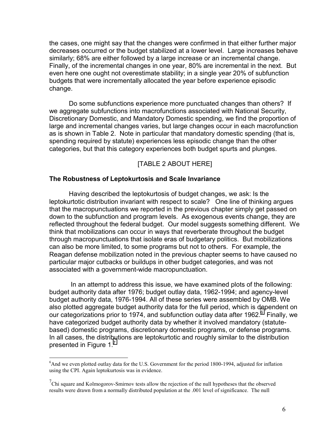the cases, one might say that the changes were confirmed in that either further major decreases occurred or the budget stabilized at a lower level. Large increases behave similarly; 68% are either followed by a large increase or an incremental change. Finally, of the incremental changes in one year, 80% are incremental in the next. But even here one ought not overestimate stability; in a single year 20% of subfunction budgets that were incrementally allocated the year before experience episodic change.

 Do some subfunctions experience more punctuated changes than others? If we aggregate subfunctions into macrofunctions associated with National Security, Discretionary Domestic, and Mandatory Domestic spending, we find the proportion of large and incremental changes varies, but large changes occur in each macrofunction as is shown in Table 2. Note in particular that mandatory domestic spending (that is, spending required by statute) experiences less episodic change than the other categories, but that this category experiences both budget spurts and plunges.

[TABLE 2 ABOUT HERE]

#### **The Robustness of Leptokurtosis and Scale Invariance**

Having described the leptokurtosis of budget changes, we ask: Is the leptokurtotic distribution invariant with respect to scale? One line of thinking argues that the macropunctuations we reported in the previous chapter simply get passed on down to the subfunction and program levels. As exogenous events change, they are reflected throughout the federal budget. Our model suggests something different. We think that mobilizations can occur in ways that reverberate throughout the budget through macropunctuations that isolate eras of budgetary politics. But mobilizations can also be more limited, to some programs but not to others. For example, the Reagan defense mobilization noted in the previous chapter seems to have caused no particular major cutbacks or buildups in other budget categories, and was not associated with a government-wide macropunctuation.

 In an attempt to address this issue, we have examined plots of the following: budget authority data after 1976; budget outlay data, 1962-1994; and agency-level budget authority data, 1976-1994. All of these series were assembled by OMB. We also plotted aggregate budget authority data for the full period, which is dependent on our categorizations prior to 1974, and subfunction outlay data after 1962.<sup>6</sup> Finally, we have categorized budget authority data by whether it involved mandatory (statutebased) domestic programs, discretionary domestic programs, or defense programs. In all cases, the distributions are leptokurtotic and roughly similar to the distribution presented in Figure 1.<sup>7</sup>

 $\overline{a}$ 

<sup>&</sup>lt;sup>6</sup> And we even plotted outlay data for the U.S. Government for the period 1800-1994, adjusted for inflation using the CPI. Again leptokurtosis was in evidence.

 $7$ Chi square and Kolmogorov-Smirnov tests allow the rejection of the null hypotheses that the observed results were drawn from a normally distributed population at the .001 level of significance. The null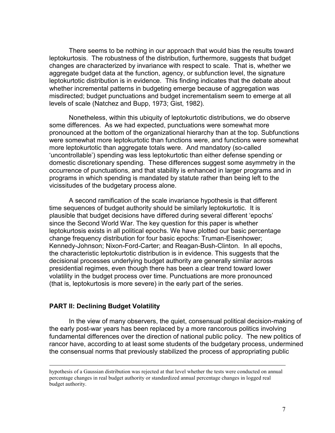There seems to be nothing in our approach that would bias the results toward leptokurtosis. The robustness of the distribution, furthermore, suggests that budget changes are characterized by invariance with respect to scale. That is, whether we aggregate budget data at the function, agency, or subfunction level, the signature leptokurtotic distribution is in evidence. This finding indicates that the debate about whether incremental patterns in budgeting emerge because of aggregation was misdirected; budget punctuations and budget incrementalism seem to emerge at all levels of scale (Natchez and Bupp, 1973; Gist, 1982).

 Nonetheless, within this ubiquity of leptokurtotic distributions, we do observe some differences. As we had expected, punctuations were somewhat more pronounced at the bottom of the organizational hierarchy than at the top. Subfunctions were somewhat more leptokurtotic than functions were, and functions were somewhat more leptokurtotic than aggregate totals were. And mandatory (so-called 'uncontrollable') spending was less leptokurtotic than either defense spending or domestic discretionary spending. These differences suggest some asymmetry in the occurrence of punctuations, and that stability is enhanced in larger programs and in programs in which spending is mandated by statute rather than being left to the vicissitudes of the budgetary process alone.

A second ramification of the scale invariance hypothesis is that different time sequences of budget authority should be similarly leptokurtotic. It is plausible that budget decisions have differed during several different 'epochs' since the Second World War. The key question for this paper is whether leptokurtosis exists in all political epochs. We have plotted our basic percentage change frequency distribution for four basic epochs: Truman-Eisenhower; Kennedy-Johnson; Nixon-Ford-Carter; and Reagan-Bush-Clinton. In all epochs, the characteristic leptokurtotic distribution is in evidence. This suggests that the decisional processes underlying budget authority are generally similar across presidential regimes, even though there has been a clear trend toward lower volatility in the budget process over time. Punctuations are more pronounced (that is, leptokurtosis is more severe) in the early part of the series.

#### **PART II: Declining Budget Volatility**

 $\overline{a}$ 

 In the view of many observers, the quiet, consensual political decision-making of the early post-war years has been replaced by a more rancorous politics involving fundamental differences over the direction of national public policy. The new politics of rancor have, according to at least some students of the budgetary process, undermined the consensual norms that previously stabilized the process of appropriating public

hypothesis of a Gaussian distribution was rejected at that level whether the tests were conducted on annual percentage changes in real budget authority or standardized annual percentage changes in logged real budget authority.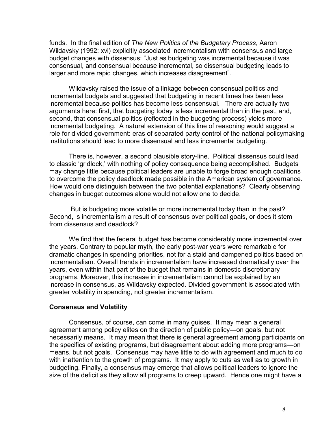funds. In the final edition of *The New Politics of the Budgetary Process*, Aaron Wildavsky (1992: xvi) explicitly associated incrementalism with consensus and large budget changes with dissensus: "Just as budgeting was incremental because it was consensual, and consensual because incremental, so dissensual budgeting leads to larger and more rapid changes, which increases disagreement".

 Wildavsky raised the issue of a linkage between consensual politics and incremental budgets and suggested that budgeting in recent times has been less incremental because politics has become less consensual. There are actually two arguments here: first, that budgeting today is less incremental than in the past, and, second, that consensual politics (reflected in the budgeting process) yields more incremental budgeting. A natural extension of this line of reasoning would suggest a role for divided government: eras of separated party control of the national policymaking institutions should lead to more dissensual and less incremental budgeting.

 There is, however, a second plausible story-line. Political dissensus could lead to classic 'gridlock,' with nothing of policy consequence being accomplished. Budgets may change little because political leaders are unable to forge broad enough coalitions to overcome the policy deadlock made possible in the American system of governance. How would one distinguish between the two potential explanations? Clearly observing changes in budget outcomes alone would not allow one to decide.

 But is budgeting more volatile or more incremental today than in the past? Second, is incrementalism a result of consensus over political goals, or does it stem from dissensus and deadlock?

We find that the federal budget has become considerably more incremental over the years. Contrary to popular myth, the early post-war years were remarkable for dramatic changes in spending priorities, not for a staid and dampened politics based on incrementalism. Overall trends in incrementalism have increased dramatically over the years, even within that part of the budget that remains in domestic discretionary programs. Moreover, this increase in incrementalism cannot be explained by an increase in consensus, as Wildavsky expected. Divided government is associated with greater volatility in spending, not greater incrementalism.

#### **Consensus and Volatility**

 Consensus, of course, can come in many guises. It may mean a general agreement among policy elites on the direction of public policy—on goals, but not necessarily means. It may mean that there is general agreement among participants on the specifics of existing programs, but disagreement about adding more programs—on means, but not goals. Consensus may have little to do with agreement and much to do with inattention to the growth of programs. It may apply to cuts as well as to growth in budgeting. Finally, a consensus may emerge that allows political leaders to ignore the size of the deficit as they allow all programs to creep upward. Hence one might have a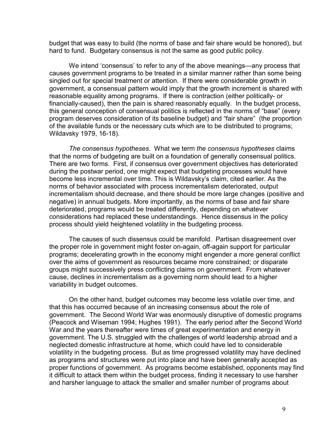budget that was easy to build (the norms of base and fair share would be honored), but hard to fund. Budgetary consensus is not the same as good public policy.

We intend 'consensus' to refer to any of the above meanings—any process that causes government programs to be treated in a similar manner rather than some being singled out for special treatment or attention. If there were considerable growth in government, a consensual pattern would imply that the growth increment is shared with reasonable equality among programs. If there is contraction (either politically- or financially-caused), then the pain is shared reasonably equally. In the budget process, this general conception of consensual politics is reflected in the norms of "base" (every program deserves consideration of its baseline budget) and "fair share" (the proportion of the available funds or the necessary cuts which are to be distributed to programs; Wildavsky 1979, 16-18).

*The consensus hypotheses.* What we term *the consensus hypotheses* claims that the norms of budgeting are built on a foundation of generally consensual politics. There are two forms. First, if consensus over government objectives has deteriorated during the postwar period, one might expect that budgeting processes would have become less incremental over time. This is Wildavsky's claim, cited earlier. As the norms of behavior associated with process incrementalism deteriorated, output incrementalism should decrease, and there should be more large changes (positive and negative) in annual budgets. More importantly, as the norms of base and fair share deteriorated, programs would be treated differently, depending on whatever considerations had replaced these understandings. Hence dissensus in the policy process should yield heightened volatility in the budgeting process.

The causes of such dissensus could be manifold. Partisan disagreement over the proper role in government might foster on-again, off-again support for particular programs; decelerating growth in the economy might engender a more general conflict over the aims of government as resources became more constrained; or disparate groups might successively press conflicting claims on government. From whatever cause, declines in incrementalism as a governing norm should lead to a higher variability in budget outcomes.

 On the other hand, budget outcomes may become less volatile over time, and that this has occurred because of an increasing consensus about the role of government. The Second World War was enormously disruptive of domestic programs (Peacock and Wiseman 1994; Hughes 1991). The early period after the Second World War and the years thereafter were times of great experimentation and energy in government. The U.S. struggled with the challenges of world leadership abroad and a neglected domestic infrastructure at home, which could have led to considerable volatility in the budgeting process. But as time progressed volatility may have declined as programs and structures were put into place and have been generally accepted as proper functions of government. As programs become established, opponents may find it difficult to attack them within the budget process, finding it necessary to use harsher and harsher language to attack the smaller and smaller number of programs about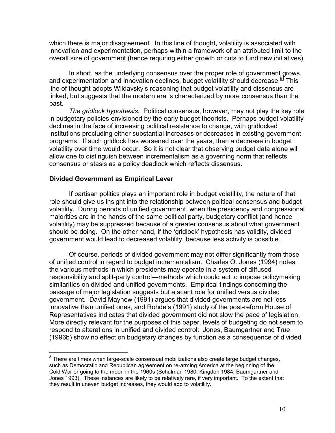which there is major disagreement. In this line of thought, volatility is associated with innovation and experimentation, perhaps within a framework of an attributed limit to the overall size of government (hence requiring either growth or cuts to fund new initiatives).

In short, as the underlying consensus over the proper role of government grows, and experimentation and innovation declines, budget volatility should decrease.<sup>8</sup> This line of thought adopts Wildavsky's reasoning that budget volatility and dissensus are linked, but suggests that the modern era is characterized by more consensus than the past.

*The gridlock hypothesis.* Political consensus, however, may not play the key role in budgetary policies envisioned by the early budget theorists. Perhaps budget volatility declines in the face of increasing political resistance to change, with gridlocked institutions precluding either substantial increases or decreases in existing government programs. If such gridlock has worsened over the years, then a decrease in budget volatility over time would occur. So it is not clear that observing budget data alone will allow one to distinguish between incrementalism as a governing norm that reflects consensus or stasis as a policy deadlock which reflects dissensus.

#### **Divided Government as Empirical Lever**

 $\overline{a}$ 

 If partisan politics plays an important role in budget volatility, the nature of that role should give us insight into the relationship between political consensus and budget volatility. During periods of unified government, when the presidency and congressional majorities are in the hands of the same political party, budgetary conflict (and hence volatility) may be suppressed because of a greater consensus about what government should be doing. On the other hand, if the 'gridlock' hypothesis has validity, divided government would lead to decreased volatility, because less activity is possible.

 Of course, periods of divided government may not differ significantly from those of unified control in regard to budget incrementalism. Charles O. Jones (1994) notes the various methods in which presidents may operate in a system of diffused responsibility and split-party control—methods which could act to impose policymaking similarities on divided and unified governments. Empirical findings concerning the passage of major legislation suggests but a scant role for unified versus divided government. David Mayhew (1991) argues that divided governments are not less innovative than unified ones, and Rohde's (1991) study of the post-reform House of Representatives indicates that divided government did not slow the pace of legislation. More directly relevant for the purposes of this paper, levels of budgeting do not seem to respond to alterations in unified and divided control: Jones, Baumgartner and True (1996b) show no effect on budgetary changes by function as a consequence of divided

 $8$  There are times when large-scale consensual mobilizations also create large budget changes, such as Democratic and Republican agreement on re-arming America at the beginning of the Cold War or going to the moon in the 1960s (Schulman 1980; Kingdon 1984; Baumgartner and Jones 1993). These instances are likely to be relatively rare, if very important. To the extent that they result in uneven budget increases, they would add to volatility.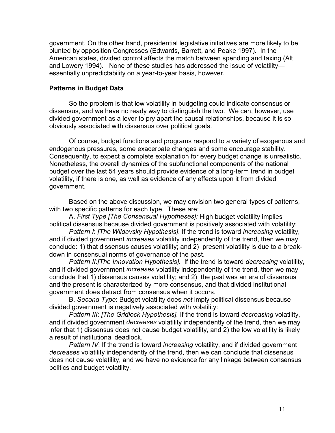government. On the other hand, presidential legislative initiatives are more likely to be blunted by opposition Congresses (Edwards, Barrett, and Peake 1997). In the American states, divided control affects the match between spending and taxing (Alt and Lowery 1994). None of these studies has addressed the issue of volatility essentially unpredictability on a year-to-year basis, however.

#### **Patterns in Budget Data**

 So the problem is that low volatility in budgeting could indicate consensus or dissensus, and we have no ready way to distinguish the two. We can, however, use divided government as a lever to pry apart the causal relationships, because it is so obviously associated with dissensus over political goals.

 Of course, budget functions and programs respond to a variety of exogenous and endogenous pressures, some exacerbate changes and some encourage stability. Consequently, to expect a complete explanation for every budget change is unrealistic. Nonetheless, the overall dynamics of the subfunctional components of the national budget over the last 54 years should provide evidence of a long-term trend in budget volatility, if there is one, as well as evidence of any effects upon it from divided government.

 Based on the above discussion, we may envision two general types of patterns, with two specific patterns for each type. These are:

 A. *First Type [The Consensual Hypotheses]:* High budget volatility implies political dissensus because divided government is positively associated with volatility:

 *Pattern I*: *[The Wildavsky Hypothesis]*. If the trend is toward *increasing* volatility, and if divided government *increases* volatility independently of the trend, then we may conclude: 1) that dissensus causes volatility; and 2) present volatility is due to a breakdown in consensual norms of governance of the past.

*Pattern II:[The Innovation Hypothesis].* If the trend is toward *decreasing* volatility, and if divided government *increases* volatility independently of the trend, then we may conclude that 1) dissensus causes volatility; and 2) the past was an era of dissensus and the present is characterized by more consensus, and that divided institutional government does detract from consensus when it occurs.

 B. *Second Type*: Budget volatility does *not* imply political dissensus because divided government is negatively associated with volatility:

 *Pattern III*: *[The Gridlock Hypothesis].* If the trend is toward *decreasing* volatility, and if divided government *decreases* volatility independently of the trend, then we may infer that 1) dissensus does not cause budget volatility, and 2) the low volatility is likely a result of institutional deadlock.

 *Pattern IV*: If the trend is toward *increasing* volatility, and if divided government *decreases* volatility independently of the trend, then we can conclude that dissensus does not cause volatility, and we have no evidence for any linkage between consensus politics and budget volatility.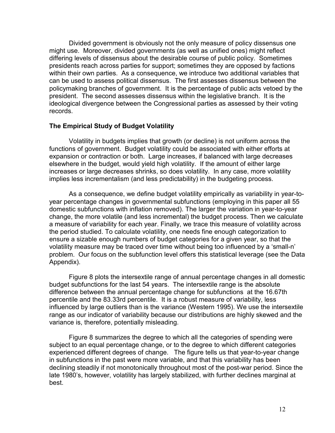Divided government is obviously not the only measure of policy dissensus one might use. Moreover, divided governments (as well as unified ones) might reflect differing levels of dissensus about the desirable course of public policy. Sometimes presidents reach across parties for support; sometimes they are opposed by factions within their own parties. As a consequence, we introduce two additional variables that can be used to assess political dissensus. The first assesses dissensus between the policymaking branches of government. It is the percentage of public acts vetoed by the president. The second assesses dissensus within the legislative branch. It is the ideological divergence between the Congressional parties as assessed by their voting records.

#### **The Empirical Study of Budget Volatility**

 Volatility in budgets implies that growth (or decline) is not uniform across the functions of government. Budget volatility could be associated with either efforts at expansion or contraction or both. Large increases, if balanced with large decreases elsewhere in the budget, would yield high volatility. If the amount of either large increases or large decreases shrinks, so does volatility. In any case, more volatility implies less incrementalism (and less predictability) in the budgeting process.

 As a consequence, we define budget volatility empirically as variability in year-toyear percentage changes in governmental subfunctions (employing in this paper all 55 domestic subfunctions with inflation removed). The larger the variation in year-to-year change, the more volatile (and less incremental) the budget process. Then we calculate a measure of variability for each year. Finally, we trace this measure of volatility across the period studied. To calculate volatility, one needs fine enough categorization to ensure a sizable enough numbers of budget categories for a given year, so that the volatility measure may be traced over time without being too influenced by a 'small-n' problem. Our focus on the subfunction level offers this statistical leverage (see the Data Appendix).

 Figure 8 plots the intersextile range of annual percentage changes in all domestic budget subfunctions for the last 54 years. The intersextile range is the absolute difference between the annual percentage change for subfunctions at the 16.67th percentile and the 83.33rd percentile. It is a robust measure of variability, less influenced by large outliers than is the variance (Western 1995). We use the intersextile range as our indicator of variability because our distributions are highly skewed and the variance is, therefore, potentially misleading.

Figure 8 summarizes the degree to which all the categories of spending were subject to an equal percentage change, or to the degree to which different categories experienced different degrees of change. The figure tells us that year-to-year change in subfunctions in the past were more variable, and that this variability has been declining steadily if not monotonically throughout most of the post-war period. Since the late 1980's, however, volatility has largely stabilized, with further declines marginal at best.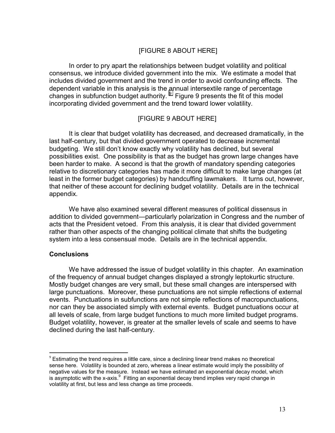## [FIGURE 8 ABOUT HERE]

 In order to pry apart the relationships between budget volatility and political consensus, we introduce divided government into the mix. We estimate a model that includes divided government and the trend in order to avoid confounding effects. The dependent variable in this analysis is the annual intersextile range of percentage changes in subfunction budget authority.  $9$  Figure 9 presents the fit of this model incorporating divided government and the trend toward lower volatility.

#### [FIGURE 9 ABOUT HERE]

 It is clear that budget volatility has decreased, and decreased dramatically, in the last half-century, but that divided government operated to decrease incremental budgeting. We still don't know exactly why volatility has declined, but several possibilities exist. One possibility is that as the budget has grown large changes have been harder to make. A second is that the growth of mandatory spending categories relative to discretionary categories has made it more difficult to make large changes (at least in the former budget categories) by handcuffing lawmakers. It turns out, however, that neither of these account for declining budget volatility. Details are in the technical appendix.

 We have also examined several different measures of political dissensus in addition to divided government—particularly polarization in Congress and the number of acts that the President vetoed. From this analysis, it is clear that divided government rather than other aspects of the changing political climate that shifts the budgeting system into a less consensual mode. Details are in the technical appendix.

#### **Conclusions**

 $\overline{a}$ 

 We have addressed the issue of budget volatility in this chapter. An examination of the frequency of annual budget changes displayed a strongly leptokurtic structure. Mostly budget changes are very small, but these small changes are interspersed with large punctuations. Moreover, these punctuations are not simple reflections of external events. Punctuations in subfunctions are not simple reflections of macropunctuations, nor can they be associated simply with external events. Budget punctuations occur at all levels of scale, from large budget functions to much more limited budget programs. Budget volatility, however, is greater at the smaller levels of scale and seems to have declined during the last half-century.

 $9$  Estimating the trend requires a little care, since a declining linear trend makes no theoretical sense here. Volatility is bounded at zero, whereas a linear estimate would imply the possibility of negative values for the measure. Instead we have estimated an exponential decay model, which is asymptotic with the x-axis.<sup>9</sup> Fitting an exponential decay trend implies very rapid change in volatility at first, but less and less change as time proceeds.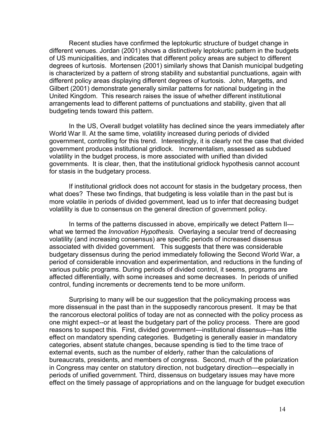Recent studies have confirmed the leptokurtic structure of budget change in different venues. Jordan (2001) shows a distinctively leptokurtic pattern in the budgets of US municipalities, and indicates that different policy areas are subject to different degrees of kurtosis. Mortensen (2001) similarly shows that Danish municipal budgeting is characterized by a pattern of strong stability and substantial punctuations, again with different policy areas displaying different degrees of kurtosis. John, Margetts, and Gilbert (2001) demonstrate generally similar patterns for national budgeting in the United Kingdom. This research raises the issue of whether different institutional arrangements lead to different patterns of punctuations and stability, given that all budgeting tends toward this pattern.

In the US, Overall budget volatility has declined since the years immediately after World War II. At the same time, volatility increased during periods of divided government, controlling for this trend. Interestingly, it is clearly not the case that divided government produces institutional gridlock. Incrementalism, assessed as subdued volatility in the budget process, is more associated with unified than divided governments. It is clear, then, that the institutional gridlock hypothesis cannot account for stasis in the budgetary process.

If institutional gridlock does not account for stasis in the budgetary process, then what does? These two findings, that budgeting is less volatile than in the past but is more volatile in periods of divided government, lead us to infer that decreasing budget volatility is due to consensus on the general direction of government policy.

 In terms of the patterns discussed in above, empirically we detect Pattern II what we termed the *Innovation Hypothesis*. Overlaying a secular trend of decreasing volatility (and increasing consensus) are specific periods of increased dissensus associated with divided government. This suggests that there was considerable budgetary dissensus during the period immediately following the Second World War, a period of considerable innovation and experimentation, and reductions in the funding of various public programs. During periods of divided control, it seems, programs are affected differentially, with some increases and some decreases. In periods of unified control, funding increments or decrements tend to be more uniform.

 Surprising to many will be our suggestion that the policymaking process was more dissensual in the past than in the supposedly rancorous present. It may be that the rancorous electoral politics of today are not as connected with the policy process as one might expect--or at least the budgetary part of the policy process. There are good reasons to suspect this. First, divided government—institutional dissensus—has little effect on mandatory spending categories. Budgeting is generally easier in mandatory categories, absent statute changes, because spending is tied to the time trace of external events, such as the number of elderly, rather than the calculations of bureaucrats, presidents, and members of congress. Second, much of the polarization in Congress may center on statutory direction, not budgetary direction—especially in periods of unified government. Third, dissensus on budgetary issues may have more effect on the timely passage of appropriations and on the language for budget execution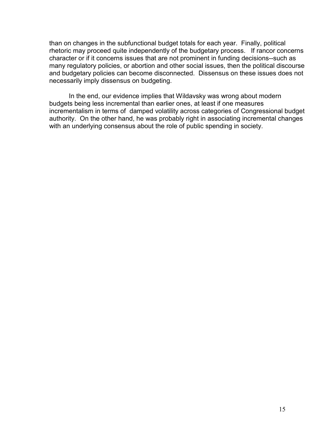than on changes in the subfunctional budget totals for each year. Finally, political rhetoric may proceed quite independently of the budgetary process. If rancor concerns character or if it concerns issues that are not prominent in funding decisions--such as many regulatory policies, or abortion and other social issues, then the political discourse and budgetary policies can become disconnected. Dissensus on these issues does not necessarily imply dissensus on budgeting.

In the end, our evidence implies that Wildavsky was wrong about modern budgets being less incremental than earlier ones, at least if one measures incrementalism in terms of damped volatility across categories of Congressional budget authority. On the other hand, he was probably right in associating incremental changes with an underlying consensus about the role of public spending in society.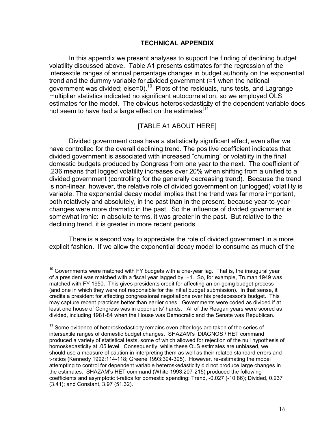#### **TECHNICAL APPENDIX**

 In this appendix we present analyses to support the finding of declining budget volatility discussed above. Table A1 presents estimates for the regression of the intersextile ranges of annual percentage changes in budget authority on the exponential trend and the dummy variable for divided government (=1 when the national government was divided; else=0).<sup>10</sup> Plots of the residuals, runs tests, and Lagrange multiplier statistics indicated no significant autocorrelation, so we employed OLS estimates for the model. The obvious heteroskedasticity of the dependent variable does not seem to have had a large effect on the estimates.<sup>11</sup>

#### [TABLE A1 ABOUT HERE]

 Divided government does have a statistically significant effect, even after we have controlled for the overall declining trend. The positive coefficient indicates that divided government is associated with increased "churning" or volatility in the final domestic budgets produced by Congress from one year to the next. The coefficient of .236 means that logged volatility increases over 20% when shifting from a unified to a divided government (controlling for the generally decreasing trend). Because the trend is non-linear, however, the relative role of divided government on (unlogged) volatility is variable. The exponential decay model implies that the trend was far more important, both relatively and absolutely, in the past than in the present, because year-to-year changes were more dramatic in the past. So the influence of divided government is somewhat ironic: in absolute terms, it was greater in the past. But relative to the declining trend, it is greater in more recent periods.

There is a second way to appreciate the role of divided government in a more explicit fashion. If we allow the exponential decay model to consume as much of the

 $\overline{a}$ 

 $10$  Governments were matched with FY budgets with a one-year lag. That is, the inaugural year of a president was matched with a fiscal year lagged by +1. So, for example, Truman 1949 was matched with FY 1950. This gives presidents credit for affecting an on-going budget process (and one in which they were not responsible for the initial budget submission). In that sense, it credits a president for affecting congressional negotiations over his predecessor's budget. This may capture recent practices better than earlier ones. Governments were coded as divided if at least one house of Congress was in opponents' hands. All of the Reagan years were scored as divided, including 1981-84 when the House was Democratic and the Senate was Republican.

 $11$  Some evidence of heteroskedasticity remains even after logs are taken of the series of intersextile ranges of domestic budget changes. SHAZAM's DIAGNOS / HET command produced a variety of statistical tests, some of which allowed for rejection of the null hypothesis of homoskedasticity at .05 level. Consequently, while these OLS estimates are unbiased, we should use a measure of caution in interpreting them as well as their related standard errors and t-ratios (Kennedy 1992:114-118; Greene 1993:394-395). However, re-estimating the model attempting to control for dependent variable heteroskedasticity did not produce large changes in the estimates. SHAZAM's HET command (White 1993:207-215) produced the following coefficients and asymptotic t-ratios for domestic spending: Trend, -0.027 (-10.86); Divided, 0.237 (3.41); and Constant, 3.97 (51.32).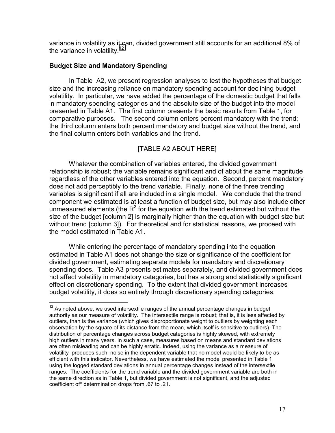variance in volatility as it can, divided government still accounts for an additional 8% of the variance in volatility.<sup>12</sup>

#### **Budget Size and Mandatory Spending**

 $\overline{a}$ 

 In Table A2, we present regression analyses to test the hypotheses that budget size and the increasing reliance on mandatory spending account for declining budget volatility. In particular, we have added the percentage of the domestic budget that falls in mandatory spending categories and the absolute size of the budget into the model presented in Table A1. The first column presents the basic results from Table 1, for comparative purposes. The second column enters percent mandatory with the trend; the third column enters both percent mandatory and budget size without the trend, and the final column enters both variables and the trend.

## [TABLE A2 ABOUT HERE]

Whatever the combination of variables entered, the divided government relationship is robust; the variable remains significant and of about the same magnitude regardless of the other variables entered into the equation. Second, percent mandatory does not add perceptibly to the trend variable. Finally, none of the three trending variables is significant if all are included in a single model. We conclude that the trend component we estimated is at least a function of budget size, but may also include other unmeasured elements (the  $R^2$  for the equation with the trend estimated but without the size of the budget [column 2] is marginally higher than the equation with budget size but without trend [column 3]). For theoretical and for statistical reasons, we proceed with the model estimated in Table A1.

While entering the percentage of mandatory spending into the equation estimated in Table A1 does not change the size or significance of the coefficient for divided government, estimating separate models for mandatory and discretionary spending does. Table A3 presents estimates separately, and divided government does not affect volatility in mandatory categories, but has a strong and statistically significant effect on discretionary spending. To the extent that divided government increases budget volatility, it does so entirely through discretionary spending categories.

 $12$  As noted above, we used intersextile ranges of the annual percentage changes in budget authority as our measure of volatility. The intersextile range is robust; that is, it is less affected by outliers, than is the variance (which gives disproportionate weight to outliers by weighting each observation by the square of its distance from the mean, which itself is sensitive to outliers). The distribution of percentage changes across budget categories is highly skewed, with extremely high outliers in many years. In such a case, measures based on means and standard deviations are often misleading and can be highly erratic. Indeed, using the variance as a measure of volatility produces such noise in the dependent variable that no model would be likely to be as efficient with this indicator. Nevertheless, we have estimated the model presented in Table 1 using the logged standard deviations in annual percentage changes instead of the intersextile ranges. The coefficients for the trend variable and the divided government variable are both in the same direction as in Table 1, but divided government is not significant, and the adjusted coefficient of\* determination drops from .67 to .21.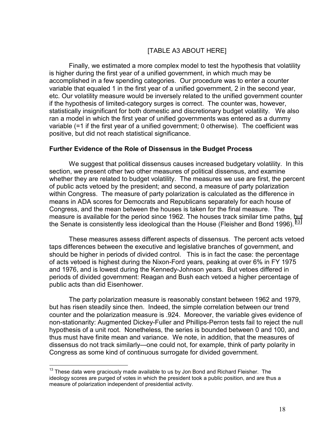## [TABLE A3 ABOUT HERE]

 Finally, we estimated a more complex model to test the hypothesis that volatility is higher during the first year of a unified government, in which much may be accomplished in a few spending categories. Our procedure was to enter a counter variable that equaled 1 in the first year of a unified government, 2 in the second year, etc. Our volatility measure would be inversely related to the unified government counter if the hypothesis of limited-category surges is correct. The counter was, however, statistically insignificant for both domestic and discretionary budget volatility. We also ran a model in which the first year of unified governments was entered as a dummy variable (=1 if the first year of a unified government; 0 otherwise). The coefficient was positive, but did not reach statistical significance.

#### **Further Evidence of the Role of Dissensus in the Budget Process**

We suggest that political dissensus causes increased budgetary volatility. In this section, we present other two other measures of political dissensus, and examine whether they are related to budget volatility. The measures we use are first, the percent of public acts vetoed by the president; and second, a measure of party polarization within Congress. The measure of party polarization is calculated as the difference in means in ADA scores for Democrats and Republicans separately for each house of Congress, and the mean between the houses is taken for the final measure. The measure is available for the period since 1962. The houses track similar time paths, but the Senate is consistently less ideological than the House (Fleisher and Bond 1996). <sup>13</sup>

These measures assess different aspects of dissensus. The percent acts vetoed taps differences between the executive and legislative branches of government, and should be higher in periods of divided control. This is in fact the case: the percentage of acts vetoed is highest during the Nixon-Ford years, peaking at over 6% in FY 1975 and 1976, and is lowest during the Kennedy-Johnson years. But vetoes differed in periods of divided government: Reagan and Bush each vetoed a higher percentage of public acts than did Eisenhower.

The party polarization measure is reasonably constant between 1962 and 1979, but has risen steadily since then. Indeed, the simple correlation between our trend counter and the polarization measure is .924. Moreover, the variable gives evidence of non-stationarity: Augmented Dickey-Fuller and Phillips-Perron tests fail to reject the null hypothesis of a unit root. Nonetheless, the series is bounded between 0 and 100, and thus must have finite mean and variance. We note, in addition, that the measures of dissensus do not track similarly—one could not, for example, think of party polarity in Congress as some kind of continuous surrogate for divided government.

 $\overline{a}$ 

 $13$  These data were graciously made available to us by Jon Bond and Richard Fleisher. The ideology scores are purged of votes in which the president took a public position, and are thus a measure of polarization independent of presidential activity.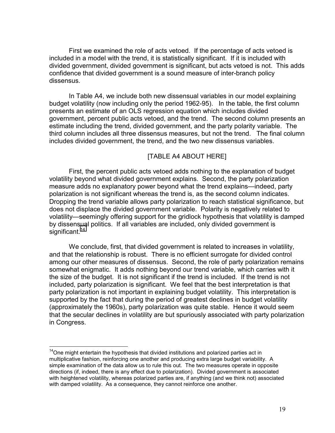First we examined the role of acts vetoed. If the percentage of acts vetoed is included in a model with the trend, it is statistically significant. If it is included with divided government, divided government is significant, but acts vetoed is not. This adds confidence that divided government is a sound measure of inter-branch policy dissensus.

In Table A4, we include both new dissensual variables in our model explaining budget volatility (now including only the period 1962-95). In the table, the first column presents an estimate of an OLS regression equation which includes divided government, percent public acts vetoed, and the trend. The second column presents an estimate including the trend, divided government, and the party polarity variable. The third column includes all three dissensus measures, but not the trend. The final column includes divided government, the trend, and the two new dissensus variables.

#### [TABLE A4 ABOUT HERE]

First, the percent public acts vetoed adds nothing to the explanation of budget volatility beyond what divided government explains. Second, the party polarization measure adds no explanatory power beyond what the trend explains—indeed, party polarization is not significant whereas the trend is, as the second column indicates. Dropping the trend variable allows party polarization to reach statistical significance, but does not displace the divided government variable. Polarity is negatively related to volatility—seemingly offering support for the gridlock hypothesis that volatility is damped by dissensual politics. If all variables are included, only divided government is significant.<sup>14</sup>

We conclude, first, that divided government is related to increases in volatility, and that the relationship is robust. There is no efficient surrogate for divided control among our other measures of dissensus. Second, the role of party polarization remains somewhat enigmatic. It adds nothing beyond our trend variable, which carries with it the size of the budget. It is not significant if the trend is included. If the trend is not included, party polarization is significant. We feel that the best interpretation is that party polarization is not important in explaining budget volatility. This interpretation is supported by the fact that during the period of greatest declines in budget volatility (approximately the 1960s), party polarization was quite stable. Hence it would seem that the secular declines in volatility are but spuriously associated with party polarization in Congress.

 $\overline{a}$ 

 $14$ One might entertain the hypothesis that divided institutions and polarized parties act in multiplicative fashion, reinforcing one another and producing extra large budget variability. A simple examination of the data allow us to rule this out. The two measures operate in opposite directions (if, indeed, there is any effect due to polarization). Divided government is associated with heightened volatility, whereas polarized parties are, if anything (and we think not) associated with damped volatility. As a consequence, they cannot reinforce one another.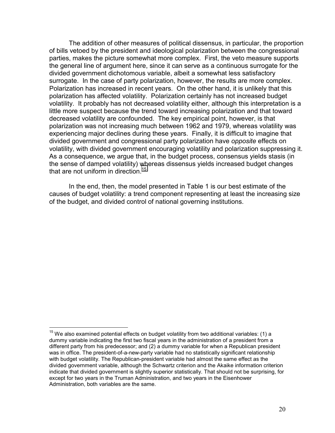The addition of other measures of political dissensus, in particular, the proportion of bills vetoed by the president and ideological polarization between the congressional parties, makes the picture somewhat more complex. First, the veto measure supports the general line of argument here, since it can serve as a continuous surrogate for the divided government dichotomous variable, albeit a somewhat less satisfactory surrogate. In the case of party polarization, however, the results are more complex. Polarization has increased in recent years. On the other hand, it is unlikely that this polarization has affected volatility. Polarization certainly has not increased budget volatility. It probably has not decreased volatility either, although this interpretation is a little more suspect because the trend toward increasing polarization and that toward decreased volatility are confounded. The key empirical point, however, is that polarization was not increasing much between 1962 and 1979, whereas volatility was experiencing major declines during these years. Finally, it is difficult to imagine that divided government and congressional party polarization have *opposite* effects on volatility, with divided government encouraging volatility and polarization suppressing it. As a consequence, we argue that, in the budget process, consensus yields stasis (in the sense of damped volatility) whereas dissensus yields increased budget changes that are not uniform in direction.<sup>15</sup>

 In the end, then, the model presented in Table 1 is our best estimate of the causes of budget volatility: a trend component representing at least the increasing size of the budget, and divided control of national governing institutions.

 $\overline{a}$  $15$  We also examined potential effects on budget volatility from two additional variables: (1) a dummy variable indicating the first two fiscal years in the administration of a president from a different party from his predecessor; and (2) a dummy variable for when a Republican president was in office. The president-of-a-new-party variable had no statistically significant relationship with budget volatility. The Republican-president variable had almost the same effect as the divided government variable, although the Schwartz criterion and the Akaike information criterion indicate that divided government is slightly superior statistically. That should not be surprising, for except for two years in the Truman Administration, and two years in the Eisenhower Administration, both variables are the same.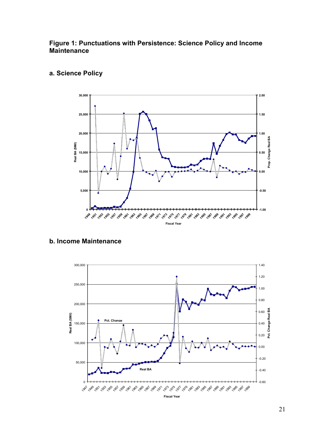## **Figure 1: Punctuations with Persistence: Science Policy and Income Maintenance**



## **a. Science Policy**

**b. Income Maintenance** 

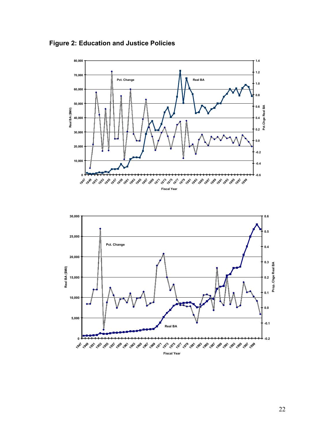**Figure 2: Education and Justice Policies** 





22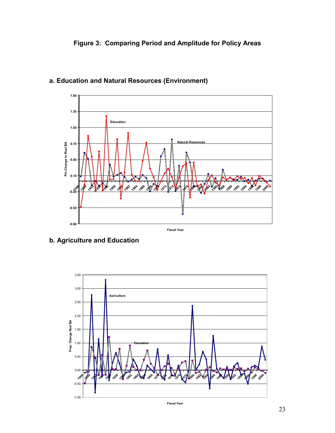

## **a. Education and Natural Resources (Environment)**

**b. Agriculture and Education** 

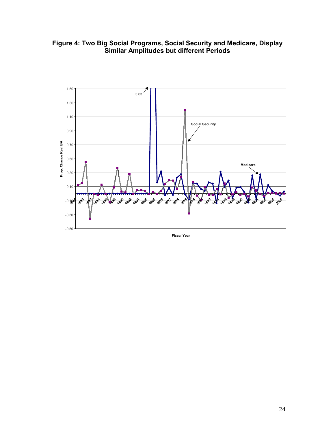



**Fiscal Year**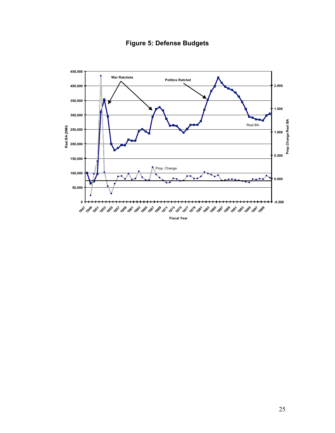

**Figure 5: Defense Budgets** 

25

**Fiscal Year**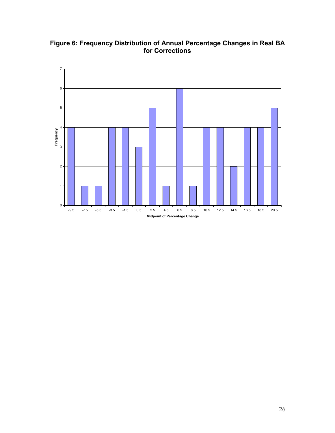**Figure 6: Frequency Distribution of Annual Percentage Changes in Real BA for Corrections** 

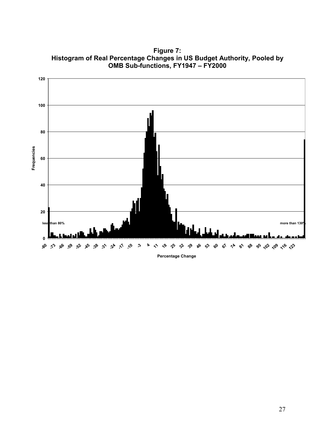**120 100 80** Frequencies **Frequencies 60 40 20 less than 80% more than 130%**thald **0 -3 67 74 88 -80 -73 -66 -59 -52 -45 -38 -31 -24 -17 -10 12**  $\sqrt{2}$   $\sqrt{3}$   $\sqrt{3}$   $\sqrt{2}$   $\sqrt{6}$ **53 60 81 95 102 109 116 123**

**Figure 7: Histogram of Real Percentage Changes in US Budget Authority, Pooled by OMB Sub-functions, FY1947 – FY2000** 

**Percentage Change**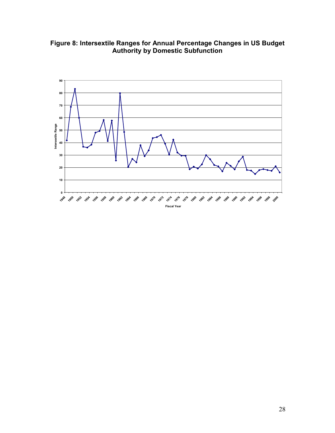

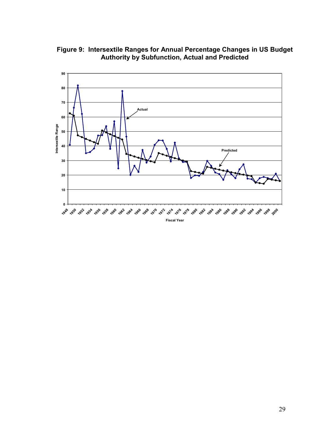**Figure 9: Intersextile Ranges for Annual Percentage Changes in US Budget Authority by Subfunction, Actual and Predicted** 

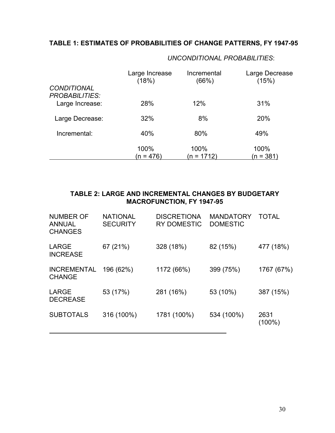## **TABLE 1: ESTIMATES OF PROBABILITIES OF CHANGE PATTERNS, FY 1947-95**

|                                                                | Large Increase<br>(18%) | Incremental<br>(66%) | Large Decrease<br>(15%) |
|----------------------------------------------------------------|-------------------------|----------------------|-------------------------|
| <b>CONDITIONAL</b><br><b>PROBABILITIES:</b><br>Large Increase: | 28%                     | 12%                  | 31%                     |
| Large Decrease:                                                | 32%                     | 8%                   | 20%                     |
| Incremental:                                                   | 40%                     | 80%                  | 49%                     |
|                                                                | 100%<br>(n = 476)       | 100%<br>(n = 1712)   | 100%<br>(n = 381)       |

## *UNCONDITIONAL PROBABILITIES*:

## **TABLE 2: LARGE AND INCREMENTAL CHANGES BY BUDGETARY MACROFUNCTION, FY 1947-95**

| <b>NUMBER OF</b><br><b>ANNUAL</b><br><b>CHANGES</b> | <b>NATIONAL</b><br><b>SECURITY</b> | <b>DISCRETIONA</b><br><b>RY DOMESTIC</b> | <b>MANDATORY</b><br><b>DOMESTIC</b> | TOTAL             |
|-----------------------------------------------------|------------------------------------|------------------------------------------|-------------------------------------|-------------------|
| <b>LARGE</b><br><b>INCREASE</b>                     | 67 (21%)                           | 328 (18%)                                | 82 (15%)                            | 477 (18%)         |
| <b>INCREMENTAL</b><br><b>CHANGE</b>                 | 196 (62%)                          | 1172 (66%)                               | 399 (75%)                           | 1767 (67%)        |
| <b>LARGE</b><br><b>DECREASE</b>                     | 53 (17%)                           | 281 (16%)                                | 53 (10%)                            | 387 (15%)         |
| <b>SUBTOTALS</b>                                    | 316 (100%)                         | 1781 (100%)                              | 534 (100%)                          | 2631<br>$(100\%)$ |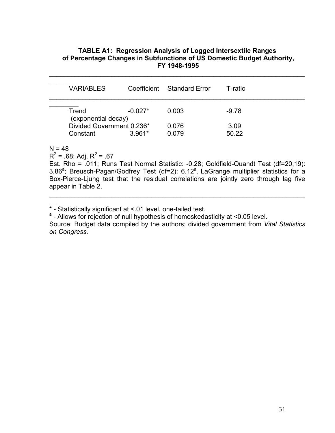## **TABLE A1: Regression Analysis of Logged Intersextile Ranges of Percentage Changes in Subfunctions of US Domestic Budget Authority, FY 1948-1995**

 $\mathcal{L}_\text{max} = \mathcal{L}_\text{max} = \mathcal{L}_\text{max} = \mathcal{L}_\text{max} = \mathcal{L}_\text{max} = \mathcal{L}_\text{max} = \mathcal{L}_\text{max} = \mathcal{L}_\text{max} = \mathcal{L}_\text{max} = \mathcal{L}_\text{max} = \mathcal{L}_\text{max} = \mathcal{L}_\text{max} = \mathcal{L}_\text{max} = \mathcal{L}_\text{max} = \mathcal{L}_\text{max} = \mathcal{L}_\text{max} = \mathcal{L}_\text{max} = \mathcal{L}_\text{max} = \mathcal{$ 

| <b>VARIABLES</b>             |                                       | Coefficient Standard Error | T-ratio       |  |
|------------------------------|---------------------------------------|----------------------------|---------------|--|
| Trend<br>(exponential decay) | $-0.027*$                             | 0.003                      | $-9.78$       |  |
| Constant                     | Divided Government 0.236*<br>$3.961*$ | 0.076<br>0.079             | 3.09<br>50.22 |  |

#### $N = 48$

 $R^2$  = .68; Adj.  $R^2$  = .67

Est. Rho = .011; Runs Test Normal Statistic: -0.28; Goldfield-Quandt Test (df=20,19): 3.86<sup>a</sup>; Breusch-Pagan/Godfrey Test (df=2): 6.12<sup>a</sup>. LaGrange multiplier statistics for a Box-Pierce-Ljung test that the residual correlations are jointly zero through lag five appear in Table 2.

 $\mathcal{L}_\text{max}$  and  $\mathcal{L}_\text{max}$  and  $\mathcal{L}_\text{max}$  and  $\mathcal{L}_\text{max}$  and  $\mathcal{L}_\text{max}$  and  $\mathcal{L}_\text{max}$ 

<sup>a</sup> - Allows for rejection of null hypothesis of homoskedasticity at <0.05 level.

Source: Budget data compiled by the authors; divided government from *Vital Statistics on Congress.*

 $\overline{\phantom{a}}$ \* - Statistically significant at <.01 level, one-tailed test.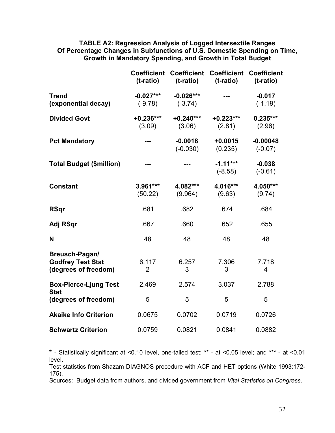**TABLE A2: Regression Analysis of Logged Intersextile Ranges Of Percentage Changes in Subfunctions of U.S. Domestic Spending on Time, Growth in Mandatory Spending, and Growth in Total Budget** 

|                                                                    | <b>Coefficient</b><br>(t-ratio) | <b>Coefficient</b><br>(t-ratio) | <b>Coefficient</b><br>$(t$ -ratio) | <b>Coefficient</b><br>$(t$ -ratio) |
|--------------------------------------------------------------------|---------------------------------|---------------------------------|------------------------------------|------------------------------------|
| <b>Trend</b><br>(exponential decay)                                | $-0.027***$<br>$(-9.78)$        | $-0.026***$<br>$(-3.74)$        |                                    | $-0.017$<br>$(-1.19)$              |
| <b>Divided Govt</b>                                                | $+0.236***$<br>(3.09)           | $+0.240***$<br>(3.06)           | $+0.223***$<br>(2.81)              | $0.235***$<br>(2.96)               |
| <b>Pct Mandatory</b>                                               |                                 | $-0.0018$<br>$(-0.030)$         | $+0.0015$<br>(0.235)               | $-0.00048$<br>$(-0.07)$            |
| <b>Total Budget (\$million)</b>                                    |                                 |                                 | $-1.11***$<br>$(-8.58)$            | $-0.038$<br>$(-0.61)$              |
| <b>Constant</b>                                                    | 3.961***<br>(50.22)             | 4.082***<br>(9.964)             | 4.016***<br>(9.63)                 | 4.050***<br>(9.74)                 |
| <b>RSqr</b>                                                        | .681                            | .682                            | .674                               | .684                               |
| Adj RSqr                                                           | .667                            | .660                            | .652                               | .655                               |
| N                                                                  | 48                              | 48                              | 48                                 | 48                                 |
| Breusch-Pagan/<br><b>Godfrey Test Stat</b><br>(degrees of freedom) | 6.117<br>$\overline{2}$         | 6.257<br>3                      | 7.306<br>3                         | 7.718<br>4                         |
| <b>Box-Pierce-Ljung Test</b>                                       | 2.469                           | 2.574                           | 3.037                              | 2.788                              |
| <b>Stat</b><br>(degrees of freedom)                                | 5                               | 5                               | 5                                  | 5                                  |
| <b>Akaike Info Criterion</b>                                       | 0.0675                          | 0.0702                          | 0.0719                             | 0.0726                             |
| <b>Schwartz Criterion</b>                                          | 0.0759                          | 0.0821                          | 0.0841                             | 0.0882                             |

**\*** - Statistically significant at <0.10 level, one-tailed test; \*\* - at <0.05 level; and \*\*\* - at <0.01 level.

Test statistics from Shazam DIAGNOS procedure with ACF and HET options (White 1993:172- 175).

Sources: Budget data from authors, and divided government from *Vital Statistics on Congress*.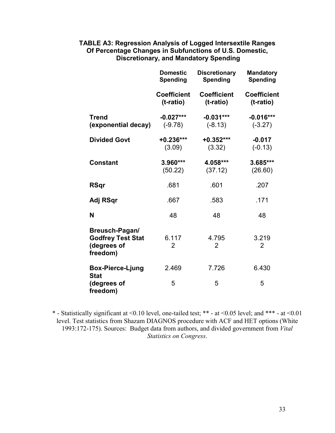## **TABLE A3: Regression Analysis of Logged Intersextile Ranges Of Percentage Changes in Subfunctions of U.S. Domestic, Discretionary, and Mandatory Spending**

|                                                                       | <b>Domestic</b><br><b>Spending</b> | <b>Discretionary</b><br>Spending | <b>Mandatory</b><br>Spending    |  |
|-----------------------------------------------------------------------|------------------------------------|----------------------------------|---------------------------------|--|
|                                                                       | <b>Coefficient</b><br>(t-ratio)    | <b>Coefficient</b><br>(t-ratio)  | <b>Coefficient</b><br>(t-ratio) |  |
| <b>Trend</b><br>(exponential decay)                                   | $-0.027***$<br>$(-9.78)$           | $-0.031***$<br>$(-8.13)$         | $-0.016***$<br>$(-3.27)$        |  |
| <b>Divided Govt</b>                                                   | $+0.236***$<br>(3.09)              | $+0.352***$<br>(3.32)            | $-0.017$<br>$(-0.13)$           |  |
| <b>Constant</b>                                                       | $3.960***$<br>(50.22)              | 4.058***<br>(37.12)              | 3.685***<br>(26.60)             |  |
| RSqr                                                                  | .681                               | .601                             | .207                            |  |
| Adj RSqr                                                              | .667                               | .583                             | .171                            |  |
| N                                                                     | 48                                 | 48                               | 48                              |  |
| Breusch-Pagan/<br><b>Godfrey Test Stat</b><br>(degrees of<br>freedom) | 6.117<br>$\overline{2}$            | 4.795<br>2                       | 3.219<br>$\overline{2}$         |  |
| <b>Box-Pierce-Ljung</b><br><b>Stat</b>                                | 2.469                              | 7.726                            | 6.430                           |  |
| (degrees of<br>freedom)                                               | 5                                  | 5                                | 5                               |  |

\* - Statistically significant at <0.10 level, one-tailed test; \*\* - at <0.05 level; and \*\*\* - at <0.01 level. Test statistics from Shazam DIAGNOS procedure with ACF and HET options (White 1993:172-175). Sources: Budget data from authors, and divided government from *Vital Statistics on Congress*.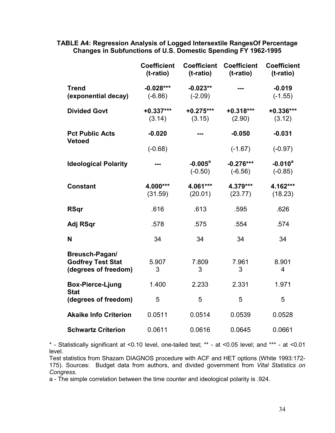| <b>TABLE A4: Regression Analysis of Logged Intersextile RangesOf Percentage</b> |  |
|---------------------------------------------------------------------------------|--|
| <b>Changes in Subfunctions of U.S. Domestic Spending FY 1962-1995</b>           |  |

|                                                                    | <b>Coefficient</b><br>(t-ratio) | <b>Coefficient</b><br>$(t$ -ratio) | <b>Coefficient</b><br>$(t$ -ratio) | <b>Coefficient</b><br>(t-ratio) |
|--------------------------------------------------------------------|---------------------------------|------------------------------------|------------------------------------|---------------------------------|
| <b>Trend</b><br>(exponential decay)                                | $-0.028***$<br>$(-6.86)$        | $-0.023**$<br>$(-2.09)$            |                                    | $-0.019$<br>$(-1.55)$           |
| <b>Divided Govt</b>                                                | $+0.337***$<br>(3.14)           | $+0.275***$<br>(3.15)              | $+0.318***$<br>(2.90)              | $+0.336***$<br>(3.12)           |
| <b>Pct Public Acts</b>                                             | $-0.020$                        |                                    | $-0.050$                           | $-0.031$                        |
| <b>Vetoed</b>                                                      | $(-0.68)$                       |                                    | $(-1.67)$                          | $(-0.97)$                       |
| <b>Ideological Polarity</b>                                        |                                 | $-0.005^a$<br>$(-0.50)$            | $-0.276***$<br>$(-6.56)$           | $-0.010^a$<br>$(-0.85)$         |
| <b>Constant</b>                                                    | 4.000***<br>(31.59)             | 4.061***<br>(20.01)                | 4.379***<br>(23.77)                | 4.162***<br>(18.23)             |
| <b>RSqr</b>                                                        | .616                            | .613                               | .595                               | .626                            |
| Adj RSqr                                                           | .578                            | .575                               | .554                               | .574                            |
| N                                                                  | 34                              | 34                                 | 34                                 | 34                              |
| Breusch-Pagan/<br><b>Godfrey Test Stat</b><br>(degrees of freedom) | 5.907<br>3                      | 7.809<br>3                         | 7.961<br>3                         | 8.901<br>4                      |
| <b>Box-Pierce-Ljung</b>                                            | 1.400                           | 2.233                              | 2.331                              | 1.971                           |
| <b>Stat</b><br>(degrees of freedom)                                | 5                               | 5                                  | 5                                  | 5                               |
| <b>Akaike Info Criterion</b>                                       | 0.0511                          | 0.0514                             | 0.0539                             | 0.0528                          |
| <b>Schwartz Criterion</b>                                          | 0.0611                          | 0.0616                             | 0.0645                             | 0.0661                          |

\* - Statistically significant at <0.10 level, one-tailed test; \*\* - at <0.05 level; and \*\*\* - at <0.01 level.

Test statistics from Shazam DIAGNOS procedure with ACF and HET options (White 1993:172- 175). Sources: Budget data from authors, and divided government from *Vital Statistics on Congress*.

a - The simple correlation between the time counter and ideological polarity is .924.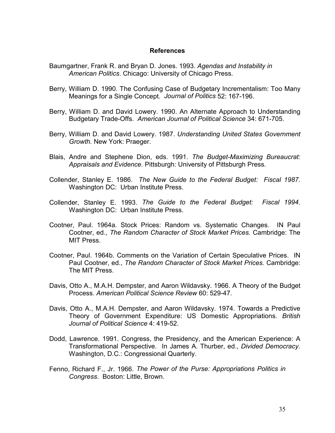#### **References**

- Baumgartner, Frank R. and Bryan D. Jones. 1993. *Agendas and Instability in American Politics*. Chicago: University of Chicago Press.
- Berry, William D. 1990. The Confusing Case of Budgetary Incrementalism: Too Many Meanings for a Single Concept. *Journal of Politics* 52: 167-196.
- Berry, William D. and David Lowery. 1990. An Alternate Approach to Understanding Budgetary Trade-Offs. *American Journal of Political Science* 34: 671-705.
- Berry, William D. and David Lowery. 1987. *Understanding United States Government Growth.* New York: Praeger.
- Blais, Andre and Stephene Dion, eds. 1991. *The Budget-Maximizing Bureaucrat: Appraisals and Evidence.* Pittsburgh: University of Pittsburgh Press.
- Collender, Stanley E. 1986. *The New Guide to the Federal Budget: Fiscal 1987*. Washington DC: Urban Institute Press.
- Collender, Stanley E. 1993. *The Guide to the Federal Budget: Fiscal 1994*. Washington DC: Urban Institute Press.
- Cootner, Paul. 1964a. Stock Prices: Random vs. Systematic Changes. IN Paul Cootner, ed., *The Random Character of Stock Market Prices.* Cambridge: The MIT Press.
- Cootner, Paul. 1964b. Comments on the Variation of Certain Speculative Prices. IN Paul Cootner, ed., *The Random Character of Stock Market Prices.* Cambridge: The MIT Press.
- Davis, Otto A., M.A.H. Dempster, and Aaron Wildavsky. 1966. A Theory of the Budget Process. *American Political Science Review* 60: 529-47.
- Davis, Otto A., M.A.H. Dempster, and Aaron Wildavsky. 1974. Towards a Predictive Theory of Government Expenditure: US Domestic Appropriations. *British Journal of Political Science* 4: 419-52.
- Dodd, Lawrence. 1991. Congress, the Presidency, and the American Experience: A Transformational Perspective. In James A. Thurber, ed., *Divided Democracy*. Washington, D.C.: Congressional Quarterly.
- Fenno, Richard F., Jr. 1966. *The Power of the Purse: Appropriations Politics in Congress*. Boston: Little, Brown.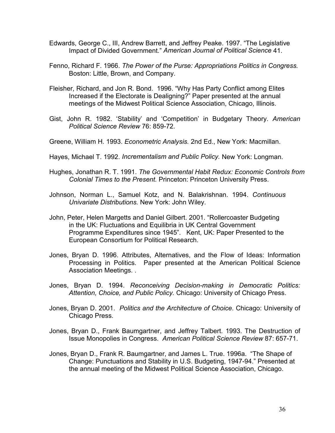- Edwards, George C., III, Andrew Barrett, and Jeffrey Peake. 1997. "The Legislative Impact of Divided Government." *American Journal of Political Science* 41.
- Fenno, Richard F. 1966. *The Power of the Purse: Appropriations Politics in Congress.* Boston: Little, Brown, and Company.
- Fleisher, Richard, and Jon R. Bond. 1996. "Why Has Party Conflict among Elites Increased if the Electorate is Dealigning?" Paper presented at the annual meetings of the Midwest Political Science Association, Chicago, Illinois.
- Gist, John R. 1982. 'Stability' and 'Competition' in Budgetary Theory. *American Political Science Review* 76: 859-72.
- Greene, William H. 1993. *Econometric Analysis.* 2nd Ed., New York: Macmillan.
- Hayes, Michael T. 1992. *Incrementalism and Public Policy.* New York: Longman.
- Hughes, Jonathan R. T. 1991. *The Governmental Habit Redux: Economic Controls from Colonial Times to the Present.* Princeton: Princeton University Press.
- Johnson, Norman L., Samuel Kotz, and N. Balakrishnan. 1994. *Continuous Univariate Distributions.* New York: John Wiley.
- John, Peter, Helen Margetts and Daniel Gilbert. 2001. "Rollercoaster Budgeting in the UK: Fluctuations and Equilibria in UK Central Government Programme Expenditures since 1945". Kent, UK: Paper Presented to the European Consortium for Political Research.
- Jones, Bryan D. 1996. Attributes, Alternatives, and the Flow of Ideas: Information Processing in Politics. Paper presented at the American Political Science Association Meetings. .
- Jones, Bryan D. 1994. *Reconceiving Decision-making in Democratic Politics: Attention, Choice, and Public Policy.* Chicago: University of Chicago Press.
- Jones, Bryan D. 2001. *Politics and the Architecture of Choice*. Chicago: University of Chicago Press.
- Jones, Bryan D., Frank Baumgartner, and Jeffrey Talbert. 1993. The Destruction of Issue Monopolies in Congress. *American Political Science Review* 87: 657-71.
- Jones, Bryan D., Frank R. Baumgartner, and James L. True. 1996a. "The Shape of Change: Punctuations and Stability in U.S. Budgeting, 1947-94." Presented at the annual meeting of the Midwest Political Science Association, Chicago.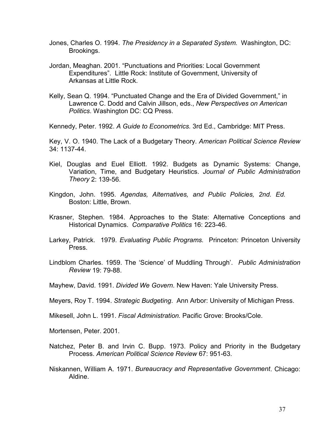- Jones, Charles O. 1994. *The Presidency in a Separated System.* Washington, DC: Brookings.
- Jordan, Meaghan. 2001. "Punctuations and Priorities: Local Government Expenditures". Little Rock: Institute of Government, University of Arkansas at Little Rock.
- Kelly, Sean Q. 1994. "Punctuated Change and the Era of Divided Government," in Lawrence C. Dodd and Calvin Jillson, eds., *New Perspectives on American Politics*. Washington DC: CQ Press.

Kennedy, Peter. 1992. *A Guide to Econometrics.* 3rd Ed., Cambridge: MIT Press.

Key, V. O. 1940. The Lack of a Budgetary Theory. *American Political Science Review* 34: 1137-44.

- Kiel, Douglas and Euel Elliott. 1992. Budgets as Dynamic Systems: Change, Variation, Time, and Budgetary Heuristics. *Journal of Public Administration Theory* 2: 139-56.
- Kingdon, John. 1995. *Agendas, Alternatives, and Public Policies, 2nd. Ed.* Boston: Little, Brown.
- Krasner, Stephen. 1984. Approaches to the State: Alternative Conceptions and Historical Dynamics. *Comparative Politics* 16: 223-46.
- Larkey, Patrick. 1979. *Evaluating Public Programs.* Princeton: Princeton University Press.
- Lindblom Charles. 1959. The 'Science' of Muddling Through'. *Public Administration Review* 19: 79-88.
- Mayhew, David. 1991. *Divided We Govern.* New Haven: Yale University Press.
- Meyers, Roy T. 1994. *Strategic Budgeting*. Ann Arbor: University of Michigan Press.
- Mikesell, John L. 1991. *Fiscal Administration.* Pacific Grove: Brooks/Cole.

Mortensen, Peter. 2001.

- Natchez, Peter B. and Irvin C. Bupp. 1973. Policy and Priority in the Budgetary Process. *American Political Science Review* 67: 951-63.
- Niskannen, William A. 1971. *Bureaucracy and Representative Government*. Chicago: Aldine.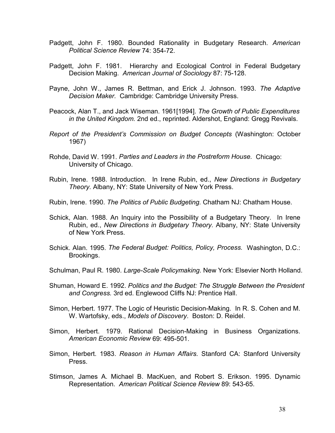- Padgett, John F. 1980. Bounded Rationality in Budgetary Research. *American Political Science Review* 74: 354-72.
- Padgett, John F. 1981. Hierarchy and Ecological Control in Federal Budgetary Decision Making. *American Journal of Sociology* 87: 75-128.
- Payne, John W., James R. Bettman, and Erick J. Johnson. 1993. *The Adaptive Decision Maker.* Cambridge: Cambridge University Press.
- Peacock, Alan T., and Jack Wiseman. 1961[1994]. *The Growth of Public Expenditures in the United Kingdom.* 2nd ed., reprinted. Aldershot, England: Gregg Revivals.
- *Report of the President's Commission on Budget Concepts* (Washington: October 1967)
- Rohde, David W. 1991. *Parties and Leaders in the Postreform House.* Chicago: University of Chicago.
- Rubin, Irene. 1988. Introduction. In Irene Rubin, ed., *New Directions in Budgetary Theory.* Albany, NY: State University of New York Press.
- Rubin, Irene. 1990. *The Politics of Public Budgeting.* Chatham NJ: Chatham House.
- Schick, Alan. 1988. An Inquiry into the Possibility of a Budgetary Theory. In Irene Rubin, ed., *New Directions in Budgetary Theory.* Albany, NY: State University of New York Press.
- Schick. Alan. 1995. *The Federal Budget: Politics, Policy, Process.* Washington, D.C.: Brookings.
- Schulman, Paul R. 1980. *Large-Scale Policymaking*. New York: Elsevier North Holland.
- Shuman, Howard E. 1992. *Politics and the Budget: The Struggle Between the President and Congress.* 3rd ed. Englewood Cliffs NJ: Prentice Hall.
- Simon, Herbert. 1977. The Logic of Heuristic Decision-Making. In R. S. Cohen and M. W. Wartofsky, eds., *Models of Discovery*. Boston: D. Reidel.
- Simon, Herbert. 1979. Rational Decision-Making in Business Organizations. *American Economic Review* 69: 495-501.
- Simon, Herbert. 1983. *Reason in Human Affairs.* Stanford CA: Stanford University Press.
- Stimson, James A. Michael B. MacKuen, and Robert S. Erikson. 1995. Dynamic Representation. *American Political Science Review* 89: 543-65.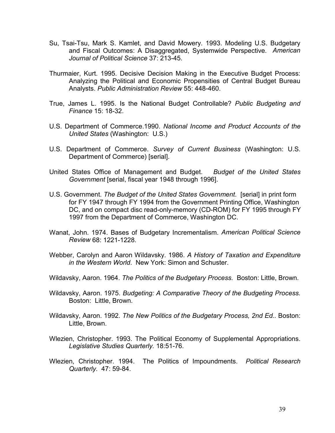- Su, Tsai-Tsu, Mark S. Kamlet, and David Mowery. 1993. Modeling U.S. Budgetary and Fiscal Outcomes: A Disaggregated, Systemwide Perspective. *American Journal of Political Science* 37: 213-45.
- Thurmaier, Kurt. 1995. Decisive Decision Making in the Executive Budget Process: Analyzing the Political and Economic Propensities of Central Budget Bureau Analysts. *Public Administration Review* 55: 448-460.
- True, James L. 1995. Is the National Budget Controllable? *Public Budgeting and Finance* 15: 18-32.
- U.S. Department of Commerce.1990. *National Income and Product Accounts of the United States* (Washington: U.S.)
- U.S. Department of Commerce. *Survey of Current Business* (Washington: U.S. Department of Commerce) [serial].
- United States Office of Management and Budget. *Budget of the United States Government* [serial, fiscal year 1948 through 1996].
- U.S. Government. *The Budget of the United States Government*. [serial] in print form for FY 1947 through FY 1994 from the Government Printing Office, Washington DC, and on compact disc read-only-memory (CD-ROM) for FY 1995 through FY 1997 from the Department of Commerce, Washington DC.
- Wanat, John. 1974. Bases of Budgetary Incrementalism. *American Political Science Review* 68: 1221-1228.
- Webber, Carolyn and Aaron Wildavsky. 1986. *A History of Taxation and Expenditure in the Western World*. New York: Simon and Schuster.
- Wildavsky, Aaron. 1964. *The Politics of the Budgetary Process.* Boston: Little, Brown.
- Wildavsky, Aaron. 1975. *Budgeting: A Comparative Theory of the Budgeting Process.* Boston: Little, Brown.
- Wildavsky, Aaron. 1992. *The New Politics of the Budgetary Process, 2nd Ed..* Boston: Little, Brown.
- Wlezien, Christopher. 1993. The Political Economy of Supplemental Appropriations. *Legislative Studies Quarterly.* 18:51-76.
- Wlezien, Christopher. 1994. The Politics of Impoundments. *Political Research Quarterly.* 47: 59-84.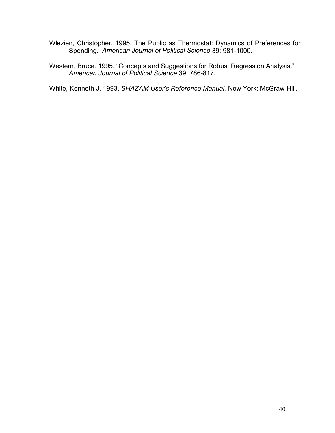- Wlezien, Christopher. 1995. The Public as Thermostat: Dynamics of Preferences for Spending. *American Journal of Political Science* 39: 981-1000.
- Western, Bruce. 1995. "Concepts and Suggestions for Robust Regression Analysis." *American Journal of Political Science* 39: 786-817.

White, Kenneth J. 1993. *SHAZAM User's Reference Manual.* New York: McGraw-Hill.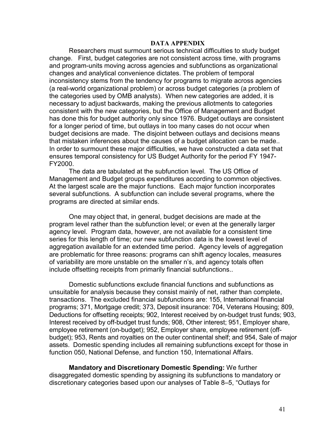#### **DATA APPENDIX**

Researchers must surmount serious technical difficulties to study budget change. First, budget categories are not consistent across time, with programs and program-units moving across agencies and subfunctions as organizational changes and analytical convenience dictates. The problem of temporal inconsistency stems from the tendency for programs to migrate across agencies (a real-world organizational problem) or across budget categories (a problem of the categories used by OMB analysts). When new categories are added, it is necessary to adjust backwards, making the previous allotments to categories consistent with the new categories, but the Office of Management and Budget has done this for budget authority only since 1976. Budget outlays are consistent for a longer period of time, but outlays in too many cases do not occur when budget decisions are made. The disjoint between outlays and decisions means that mistaken inferences about the causes of a budget allocation can be made.. In order to surmount these major difficulties, we have constructed a data set that ensures temporal consistency for US Budget Authority for the period FY 1947- FY2000.

The data are tabulated at the subfunction level. The US Office of Management and Budget groups expenditures according to common objectives. At the largest scale are the major functions. Each major function incorporates several subfunctions. A subfunction can include several programs, where the programs are directed at similar ends.

One may object that, in general, budget decisions are made at the program level rather than the subfunction level; or even at the generally larger agency level. Program data, however, are not available for a consistent time series for this length of time; our new subfunction data is the lowest level of aggregation available for an extended time period. Agency levels of aggregation are problematic for three reasons: programs can shift agency locales, measures of variability are more unstable on the smaller n's, and agency totals often include offsetting receipts from primarily financial subfunctions..

 Domestic subfunctions exclude financial functions and subfunctions as unsuitable for analysis because they consist mainly of net, rather than complete, transactions. The excluded financial subfunctions are: 155, International financial programs; 371, Mortgage credit; 373, Deposit insurance: 704, Veterans Housing; 809, Deductions for offsetting receipts; 902, Interest received by on-budget trust funds; 903, Interest received by off-budget trust funds; 908, Other interest; 951, Employer share, employee retirement (on-budget); 952, Employer share, employee retirement (offbudget); 953, Rents and royalties on the outer continental shelf; and 954, Sale of major assets. Domestic spending includes all remaining subfunctions except for those in function 050, National Defense, and function 150, International Affairs.

**Mandatory and Discretionary Domestic Spending:** We further disaggregated domestic spending by assigning its subfunctions to mandatory or discretionary categories based upon our analyses of Table 8–5, "Outlays for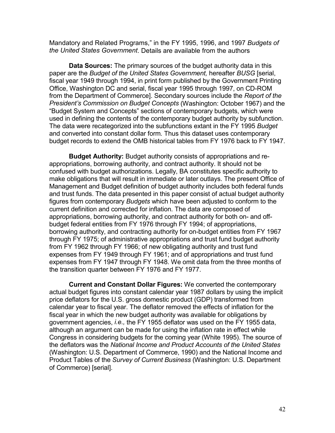Mandatory and Related Programs," in the FY 1995, 1996, and 1997 *Budgets of the United States Government*. Details are available from the authors

**Data Sources:** The primary sources of the budget authority data in this paper are the *Budget of the United States Government,* hereafter *BUSG* [serial, fiscal year 1949 through 1994, in print form published by the Government Printing Office, Washington DC and serial, fiscal year 1995 through 1997, on CD-ROM from the Department of Commerce]. Secondary sources include the *Report of the President's Commission on Budget Concepts* (Washington: October 1967) and the "Budget System and Concepts" sections of contemporary budgets, which were used in defining the contents of the contemporary budget authority by subfunction. The data were recategorized into the subfunctions extant in the FY 1995 *Budget*  and converted into constant dollar form*.* Thus this dataset uses contemporary budget records to extend the OMB historical tables from FY 1976 back to FY 1947.

**Budget Authority:** Budget authority consists of appropriations and reappropriations, borrowing authority, and contract authority. It should not be confused with budget authorizations. Legally, BA constitutes specific authority to make obligations that will result in immediate or later outlays. The present Office of Management and Budget definition of budget authority includes both federal funds and trust funds. The data presented in this paper consist of actual budget authority figures from contemporary *Budgets* which have been adjusted to conform to the current definition and corrected for inflation. The data are composed of appropriations, borrowing authority, and contract authority for both on- and offbudget federal entities from FY 1976 through FY 1994; of appropriations, borrowing authority, and contracting authority for on-budget entities from FY 1967 through FY 1975; of administrative appropriations and trust fund budget authority from FY 1962 through FY 1966; of new obligating authority and trust fund expenses from FY 1949 through FY 1961; and of appropriations and trust fund expenses from FY 1947 through FY 1948. We omit data from the three months of the transition quarter between FY 1976 and FY 1977.

**Current and Constant Dollar Figures:** We converted the contemporary actual budget figures into constant calendar year 1987 dollars by using the implicit price deflators for the U.S. gross domestic product (GDP) transformed from calendar year to fiscal year. The deflator removed the effects of inflation for the fiscal year in which the new budget authority was available for obligations by government agencies, *i.e.,* the FY 1955 deflator was used on the FY 1955 data, although an argument can be made for using the inflation rate in effect while Congress in considering budgets for the coming year (White 1995). The source of the deflators was the *National Income and Product Accounts of the United States* (Washington: U.S. Department of Commerce, 1990) and the National Income and Product Tables of the *Survey of Current Business* (Washington: U.S. Department of Commerce) [serial].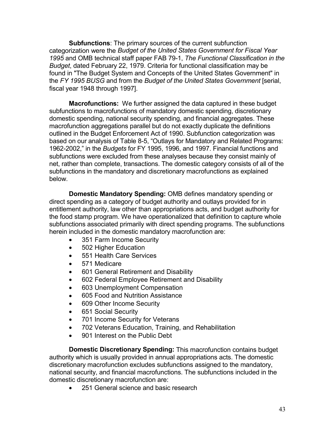**Subfunctions**: The primary sources of the current subfunction categorization were the *Budget of the United States Government for Fiscal Year 1995* and OMB technical staff paper FAB 79-1, *The Functional Classification in the Budget*, dated February 22, 1979. Criteria for functional classification may be found in "The Budget System and Concepts of the United States Government" in the *FY 1995 BUSG* and from the *Budget of the United States Government* [serial, fiscal year 1948 through 1997].

**Macrofunctions:** We further assigned the data captured in these budget subfunctions to macrofunctions of mandatory domestic spending, discretionary domestic spending, national security spending, and financial aggregates. These macrofunction aggregations parallel but do not exactly duplicate the definitions outlined in the Budget Enforcement Act of 1990. Subfunction categorization was based on our analysis of Table 8-5, "Outlays for Mandatory and Related Programs: 1962-2002," in the *Budgets* for FY 1995, 1996, and 1997. Financial functions and subfunctions were excluded from these analyses because they consist mainly of net, rather than complete, transactions. The domestic category consists of all of the subfunctions in the mandatory and discretionary macrofunctions as explained below.

**Domestic Mandatory Spending:** OMB defines mandatory spending or direct spending as a category of budget authority and outlays provided for in entitlement authority, law other than appropriations acts, and budget authority for the food stamp program. We have operationalized that definition to capture whole subfunctions associated primarily with direct spending programs. The subfunctions herein included in the domestic mandatory macrofunction are:

- 351 Farm Income Security
- 502 Higher Education
- 551 Health Care Services
- 571 Medicare
- 601 General Retirement and Disability
- 602 Federal Employee Retirement and Disability
- 603 Unemployment Compensation
- 605 Food and Nutrition Assistance
- 609 Other Income Security
- 651 Social Security
- 701 Income Security for Veterans
- 702 Veterans Education, Training, and Rehabilitation
- 901 Interest on the Public Debt

**Domestic Discretionary Spending:** This macrofunction contains budget authority which is usually provided in annual appropriations acts. The domestic discretionary macrofunction excludes subfunctions assigned to the mandatory, national security, and financial macrofunctions. The subfunctions included in the domestic discretionary macrofunction are:

• 251 General science and basic research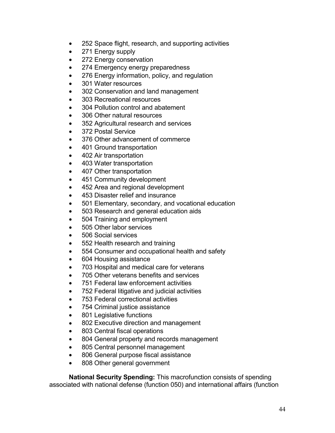- 252 Space flight, research, and supporting activities
- 271 Energy supply
- 272 Energy conservation
- 274 Emergency energy preparedness
- 276 Energy information, policy, and regulation
- 301 Water resources
- 302 Conservation and land management
- 303 Recreational resources
- 304 Pollution control and abatement
- 306 Other natural resources
- 352 Agricultural research and services
- 372 Postal Service
- 376 Other advancement of commerce
- 401 Ground transportation
- 402 Air transportation
- 403 Water transportation
- 407 Other transportation
- 451 Community development
- 452 Area and regional development
- 453 Disaster relief and insurance
- 501 Elementary, secondary, and vocational education
- 503 Research and general education aids
- 504 Training and employment
- 505 Other labor services
- 506 Social services
- 552 Health research and training
- 554 Consumer and occupational health and safety
- 604 Housing assistance
- 703 Hospital and medical care for veterans
- 705 Other veterans benefits and services
- 751 Federal law enforcement activities
- 752 Federal litigative and judicial activities
- 753 Federal correctional activities
- 754 Criminal justice assistance
- 801 Legislative functions
- 802 Executive direction and management
- 803 Central fiscal operations
- 804 General property and records management
- 805 Central personnel management
- 806 General purpose fiscal assistance
- 808 Other general government

**National Security Spending:** This macrofunction consists of spending associated with national defense (function 050) and international affairs (function